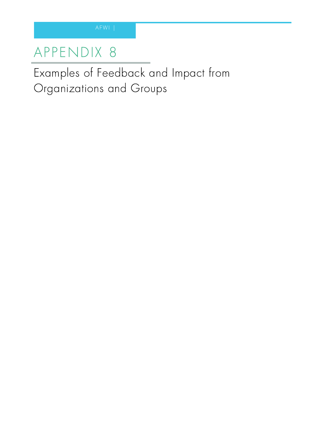## AP PENDIX 8

Examples of Feedback and Impact from Organizations and Groups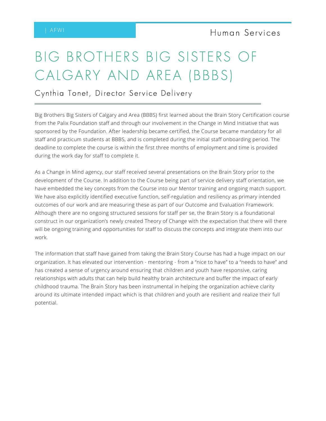# BIG BROTHERS BIG SISTERS OF CALGARY AND AREA (BBBS)

Cynthia Tonet, Director Service Delivery

Big Brothers Big Sisters of Calgary and Area (BBBS) first learned about the Brain Story Certification course from the Palix Foundation staff and through our involvement in the Change in Mind Initiative that was sponsored by the Foundation. After leadership became certified, the Course became mandatory for all staff and practicum students at BBBS, and is completed during the initial staff onboarding period. The deadline to complete the course is within the first three months of employment and time is provided during the work day for staff to complete it.

As a Change in Mind agency, our staff received several presentations on the Brain Story prior to the development of the Course. In addition to the Course being part of service delivery staff orientation, we have embedded the key concepts from the Course into our Mentor training and ongoing match support. We have also explicitly identified executive function, self-regulation and resiliency as primary intended outcomes of our work and are measuring these as part of our Outcome and Evaluation Framework. Although there are no ongoing structured sessions for staff per se, the Brain Story is a foundational construct in our organization's newly created Theory of Change with the expectation that there will there will be ongoing training and opportunities for staff to discuss the concepts and integrate them into our work.

The information that staff have gained from taking the Brain Story Course has had a huge impact on our organization. It has elevated our intervention - mentoring - from a "nice to have" to a "needs to have" and has created a sense of urgency around ensuring that children and youth have responsive, caring relationships with adults that can help build healthy brain architecture and buffer the impact of early childhood trauma. The Brain Story has been instrumental in helping the organization achieve clarity around its ultimate intended impact which is that children and youth are resilient and realize their full potential.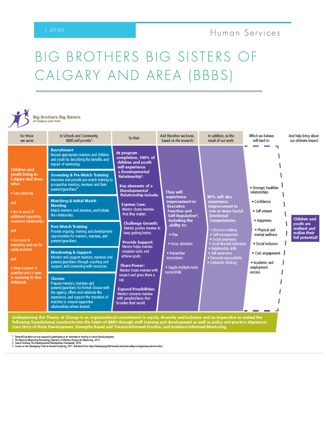# BIG BROTHERS BIG SISTERS OF CALGARY AND AREA (BBBS)

**Big Brothers Big Sisters**<br>of Calgary and Area

| For those<br>we serve:                                                                                                                                                                                                                                                                                                                                                                                | In Schools and Community,<br>BBBS will provide1:                                                                                                                                                                                                                                                                                                                                                    | So that:                                                                                                                                                                                                                                                                                                                                                                                                                                                                                                                                       | And therefore we know.<br>based on the research:                                                                                                                                                                                                                              | In addition, as the<br>result of our work:                                                                                                                                                                                                                                                                     | Which we believe<br>And help bring about<br>our ultimate impact:<br>will lead to:                                                                                                                                                                                                                    |
|-------------------------------------------------------------------------------------------------------------------------------------------------------------------------------------------------------------------------------------------------------------------------------------------------------------------------------------------------------------------------------------------------------|-----------------------------------------------------------------------------------------------------------------------------------------------------------------------------------------------------------------------------------------------------------------------------------------------------------------------------------------------------------------------------------------------------|------------------------------------------------------------------------------------------------------------------------------------------------------------------------------------------------------------------------------------------------------------------------------------------------------------------------------------------------------------------------------------------------------------------------------------------------------------------------------------------------------------------------------------------------|-------------------------------------------------------------------------------------------------------------------------------------------------------------------------------------------------------------------------------------------------------------------------------|----------------------------------------------------------------------------------------------------------------------------------------------------------------------------------------------------------------------------------------------------------------------------------------------------------------|------------------------------------------------------------------------------------------------------------------------------------------------------------------------------------------------------------------------------------------------------------------------------------------------------|
| Children and<br>youth living in<br><b>Calgary and Area</b><br>who:<br>· Face adversity<br>and<br>. Are in need of<br>additional supportive,<br>consistent relationships<br>and<br>· Are open to<br>mentoring and can be<br>safely matched<br>and<br>. Have a parent or<br>guardian who is open<br>to mentoring for their<br>child/youth                                                               | <b>Recruitment</b><br>Recruit appropriate mentors and children<br>and youth by describing the benefits and<br>impact of mentoring.<br><b>Screening &amp; Pre-Match Training</b><br>Interview and provide pre-match training to<br>prospective mentors, mentees and their<br>parents/quardians*.<br><b>Matching &amp; Initial Match</b><br><b>Meeting</b><br>Match mentors and mentees, and initiate | At program<br>completion, 100% of<br>children and youth<br>will experience<br>a Developmental<br>Relationship <sup>2</sup> .<br>Key elements of a<br><b>Developmental</b><br><b>Relationship include:</b><br><b>Express Care:</b><br>Mentor shows mentee<br>that they matter;<br><b>Challenge Growth:</b><br>Mentor pushes mentee to<br>keep getting better;<br><b>Provide Support:</b><br>Mentor helps mentee<br>complete tasks and<br>achieve goals;<br><b>Share Power:</b><br>Mentor treats mentee with<br>respect and gives them a<br>say: | They will<br>experience<br>improvement in<br><b>Executive</b><br><b>Function and</b><br>Self-Regulation <sup>3</sup> ,<br>including the<br>ability to:<br>$\bullet$ Plan<br>· Focus attention<br>· Remember<br><b>instructions</b><br>· Juggle multiple tasks<br>successfully | 80% will also<br>experience<br>improvement in<br>one or more Social<br><b>Emotional</b><br><b>Competencies</b><br>· Decision making<br>· Self-management<br>· Social awareness<br>· Goal-directed behaviour<br>· Relationship skills<br>· Self-awareness<br>· Personal responsibility<br>· Optimistic thinking | · Stronger, healthier<br>relationships<br>· Confidence<br>· Self esteem<br>Children and<br>· Happiness<br>vouth are<br>resilient and<br>· Physical and<br>realize their<br>mental wellness<br>full potential!<br>· Social inclusion<br>· Civic engagement<br>· Academic and<br>employment<br>success |
|                                                                                                                                                                                                                                                                                                                                                                                                       | the relationship.<br><b>Post-Match Training</b><br>Provide ongoing training and development<br>opportunities for mentors, mentees, and<br>parents/quardians.                                                                                                                                                                                                                                        |                                                                                                                                                                                                                                                                                                                                                                                                                                                                                                                                                |                                                                                                                                                                                                                                                                               |                                                                                                                                                                                                                                                                                                                |                                                                                                                                                                                                                                                                                                      |
|                                                                                                                                                                                                                                                                                                                                                                                                       | <b>Monitoring &amp; Support</b><br>Monitor and support mentors, mentees and<br>parents/guardians through coaching and<br>support, and connecting with resources.<br>Closure<br>Prepare mentors, mentees and                                                                                                                                                                                         |                                                                                                                                                                                                                                                                                                                                                                                                                                                                                                                                                |                                                                                                                                                                                                                                                                               |                                                                                                                                                                                                                                                                                                                |                                                                                                                                                                                                                                                                                                      |
|                                                                                                                                                                                                                                                                                                                                                                                                       | parents/quardians for formal closure with<br>the agency, affirm and celebrate the<br>experience, and support the transition of<br>matches to natural supportive<br>broaden their world.<br>relationships where desired.                                                                                                                                                                             | <b>Expand Possibilities:</b><br>Mentor connects mentee<br>with people/places that                                                                                                                                                                                                                                                                                                                                                                                                                                                              |                                                                                                                                                                                                                                                                               |                                                                                                                                                                                                                                                                                                                |                                                                                                                                                                                                                                                                                                      |
| Underpinning this Theory of Change is an organizational commitment to equity, diversity and inclusion and an imperative to embed the<br>following foundational constructs into the fabric of BBBS through staff training and development as well as policy and practice alignment:<br>Core Story of Brain Development, Strengths Based and Trauma-Informed Practice, and Evidence Informed Mentoring. |                                                                                                                                                                                                                                                                                                                                                                                                     |                                                                                                                                                                                                                                                                                                                                                                                                                                                                                                                                                |                                                                                                                                                                                                                                                                               |                                                                                                                                                                                                                                                                                                                |                                                                                                                                                                                                                                                                                                      |

" Parants/Guardians are not required to perticipate in an interview or training in school based programs<br>1 The National Mentoring Patmership, Elements of Effective Photosoft or Mentoring, 2015.<br>2 Search Institute, The Deve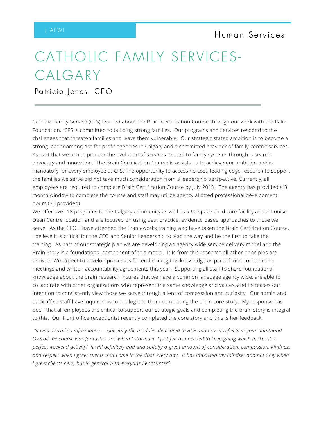## CATHOLIC FAMILY SERVICES-CALGARY

Patricia Jones, CEO

Catholic Family Service (CFS) learned about the Brain Certification Course through our work with the Palix Foundation. CFS is committed to building strong families. Our programs and services respond to the challenges that threaten families and leave them vulnerable. Our strategic stated ambition is to become a strong leader among not for profit agencies in Calgary and a committed provider of family-centric services. As part that we aim to pioneer the evolution of services related to family systems through research, advocacy and innovation. The Brain Certification Course is assists us to achieve our ambition and is mandatory for every employee at CFS. The opportunity to access no cost, leading edge research to support the families we serve did not take much consideration from a leadership perspective. Currently, all employees are required to complete Brain Certification Course by July 2019. The agency has provided a 3 month window to complete the course and staff may utilize agency allotted professional development hours (35 provided).

We offer over 18 programs to the Calgary community as well as a 60 space child care facility at our Louise Dean Centre location and are focused on using best practice, evidence based approaches to those we serve. As the CEO, I have attended the Frameworks training and have taken the Brain Certification Course. I believe it is critical for the CEO and Senior Leadership to lead the way and be the first to take the training. As part of our strategic plan we are developing an agency wide service delivery model and the Brain Story is a foundational component of this model. It is from this research all other principles are derived. We expect to develop processes for embedding this knowledge as part of initial orientation, meetings and written accountability agreements this year. Supporting all staff to share foundational knowledge about the brain research insures that we have a common language agency wide, are able to collaborate with other organizations who represent the same knowledge and values, and increases our intention to consistently view those we serve through a lens of compassion and curiosity. Our admin and back office staff have inquired as to the logic to them completing the brain core story. My response has been that all employees are critical to support our strategic goals and completing the brain story is integral to this. Our front office receptionist recently completed the core story and this is her feedback:

"It was overall so informative - especially the modules dedicated to ACE and how it reflects in your adulthood. Overall the course was fantastic, and when I started it, I just felt as I needed to keep going which makes it a perfect weekend activity! It will definitely add and solidify a great amount of consideration, compassion, kindness and respect when I greet clients that come in the door every day. It has impacted my mindset and not only when *I greet clients here, but in general with everyone I encounter".*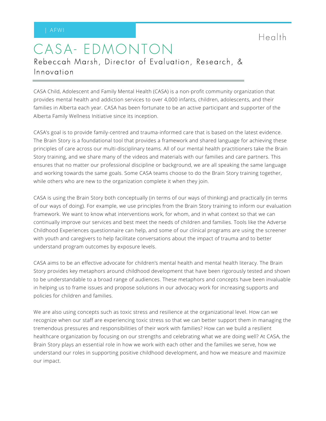Heal th

## CASA- EDMONTON Rebeccah Marsh, Director of Evaluation, Research, & Innovation

CASA Child, Adolescent and Family Mental Health (CASA) is a non-profit community organization that provides mental health and addiction services to over 4,000 infants, children, adolescents, and their families in Alberta each year. CASA has been fortunate to be an active participant and supporter of the Alberta Family Wellness Initiative since its inception.

CASA's goal is to provide family-centred and trauma-informed care that is based on the latest evidence. The Brain Story is a foundational tool that provides a framework and shared language for achieving these principles of care across our multi-disciplinary teams. All of our mental health practitioners take the Brain Story training, and we share many of the videos and materials with our families and care partners. This ensures that no matter our professional discipline or background, we are all speaking the same language and working towards the same goals. Some CASA teams choose to do the Brain Story training together, while others who are new to the organization complete it when they join.

CASA is using the Brain Story both conceptually (in terms of our ways of thinking) and practically (in terms of our ways of doing). For example, we use principles from the Brain Story training to inform our evaluation framework. We want to know what interventions work, for whom, and in what context so that we can continually improve our services and best meet the needs of children and families. Tools like the Adverse Childhood Experiences questionnaire can help, and some of our clinical programs are using the screener with youth and caregivers to help facilitate conversations about the impact of trauma and to better understand program outcomes by exposure levels.

CASA aims to be an effective advocate for children's mental health and mental health literacy. The Brain Story provides key metaphors around childhood development that have been rigorously tested and shown to be understandable to a broad range of audiences. These metaphors and concepts have been invaluable in helping us to frame issues and propose solutions in our advocacy work for increasing supports and policies for children and families.

We are also using concepts such as toxic stress and resilience at the organizational level. How can we recognize when our staff are experiencing toxic stress so that we can better support them in managing the tremendous pressures and responsibilities of their work with families? How can we build a resilient healthcare organization by focusing on our strengths and celebrating what we are doing well? At CASA, the Brain Story plays an essential role in how we work with each other and the families we serve, how we understand our roles in supporting positive childhood development, and how we measure and maximize our impact.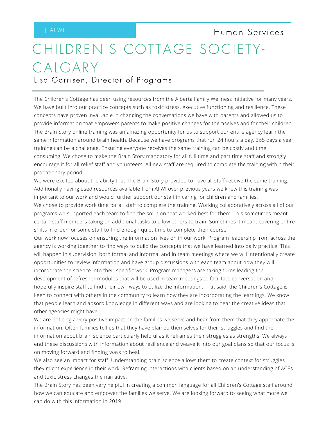# CHILDREN'S COTTAGE SOCIETY-CALGARY Human Services

Lisa Garrisen, Director of Programs

The Children's Cottage has been using resources from the Alberta Family Wellness Initiative for many years. We have built into our practice concepts such as toxic stress, executive functioning and resilience. These concepts have proven invaluable in changing the conversations we have with parents and allowed us to provide information that empowers parents to make positive changes for themselves and for their children. The Brain Story online training was an amazing opportunity for us to support our entire agency learn the same information around brain health. Because we have programs that run 24 hours a day, 365 days a year, training can be a challenge. Ensuring everyone receives the same training can be costly and time consuming. We chose to make the Brain Story mandatory for all full time and part time staff and strongly encourage it for all relief staff and volunteers. All new staff are required to complete the training within their probationary period.

We were excited about the ability that The Brain Story provided to have all staff receive the same training. Additionally having used resources available from AFWI over previous years we knew this training was important to our work and would further support our staff in caring for children and families.

We chose to provide work time for all staff to complete the training. Working collaboratively across all of our programs we supported each team to find the solution that worked best for them. This sometimes meant certain staff members taking on additional tasks to allow others to train. Sometimes it meant covering entire shifts in order for some staff to find enough quiet time to complete their course.

Our work now focuses on ensuring the information lives on in our work. Program leadership from across the agency is working together to find ways to build the concepts that we have learned into daily practice. This will happen in supervision, both formal and informal and in team meetings where we will intentionally create opportunities to review information and have group discussions with each team about how they will incorporate the science into their specific work. Program managers are taking turns leading the development of refresher modules that will be used in team meetings to facilitate conversation and hopefully inspire staff to find their own ways to utilize the information. That said, the Children's Cottage is keen to connect with others in the community to learn how they are incorporating the learnings. We know that people learn and absorb knowledge in different ways and are looking to hear the creative ideas that other agencies might have.

We are noticing a very positive impact on the families we serve and hear from them that they appreciate the information. Often families tell us that they have blamed themselves for their struggles and find the information about brain science particularly helpful as it reframes their struggles as strengths. We always end these discussions with information about resilience and weave it into our goal plans so that our focus is on moving forward and finding ways to heal.

We also see an impact for staff. Understanding brain science allows them to create context for struggles they might experience in their work. Reframing interactions with clients based on an understanding of ACEs and toxic stress changes the narrative.

The Brain Story has been very helpful in creating a common language for all Children's Cottage staff around how we can educate and empower the families we serve. We are looking forward to seeing what more we can do with this information in 2019.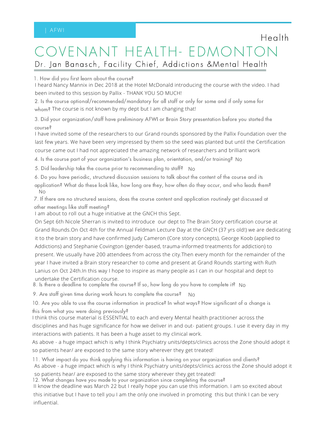## OVENANT HEALTH- EDMONTO Dr. Jan Banasch, Facility Chief, Addictions &Mental Health

**Health** 

1. How did you first learn about the course?

I heard Nancy Mannix in Dec 2018 at the Hotel McDonald introducing the course with the video. I had been invited to this session by Pallix - THANK YOU SO MUCH!

2. Is the course optional/recommended/mandatory for all staff or only for some and if only some for whom? The course is not known by my dept but I am changing that!

3. Did your organization/staff have preliminary AFWI or Brain Story presentation before you started the course?

I have invited some of the researchers to our Grand rounds sponsored by the Pallix Foundation over the last few years. We have been very impressed by them so the seed was planted but until the Certification course came out I had not appreciated the amazing network of researchers and brilliant work

4. Is the course part of your organization's business plan, orientation, and/or training? No

5. Did leadership take the course prior to recommending to staff? No

6. Do you have periodic, structured discussion sessions to talk about the content of the course and its

application? What do these look like, how long are they, how often do they occur, and who leads them? No

7. If there are no structured sessions, does the course content and application routinely get discussed at other meetings like staff meeting?

I am about to roll out a huge initiative at the GNCH this Sept.

On Sept 6th Nicole Sherran is invited to introduce our dept to The Brain Story certification course at Grand Rounds.On Oct 4th for the Annual Feldman Lecture Day at the GNCH (37 yrs old!) we are dedicating it to the brain story and have confirmed Judy Cameron (Core story concepts), George Koob (applied to Addictions) and Stephanie Covington (gender-based, trauma-informed treatments for addiction) to present. We usually have 200 attendees from across the city.Then every month for the remainder of the year I have invited a Brain story researcher to come and present at Grand Rounds starting with Ruth Lanius on Oct 24th.In this way I hope to inspire as many people as I can in our hospital and dept to undertake the Certification course.

8. Is there a deadline to complete the course? If so, how long do you have to complete it? No

9. Are staff given time during work hours to complete the course? No

10. Are you able to use the course information in practice? In what ways? How significant of a change is this from what you were doing previously?

I think this course material is ESSENTIAL to each and every Mental health practitioner across the disciplines and has huge significance for how we deliver in and out- patient groups. I use it every day in my interactions with patients. It has been a huge asset to my clinical work.

As above - a huge impact which is why I think Psychiatry units/depts/clinics across the Zone should adopt it so patients hear/ are exposed to the same story wherever they get treated!

11. What impact do you think applying this information is having on your organization and clients? As above - a huge impact which is why I think Psychiatry units/depts/clinics across the Zone should adopt it

so patients hear/ are exposed to the same story wherever they get treated!

12. What changes have you made to your organization since completing the course?

II know the deadline was March 22 but I really hope you can use this information. I am so excited about this initiative but I have to tell you I am the only one involved in promoting this but think I can be very influential.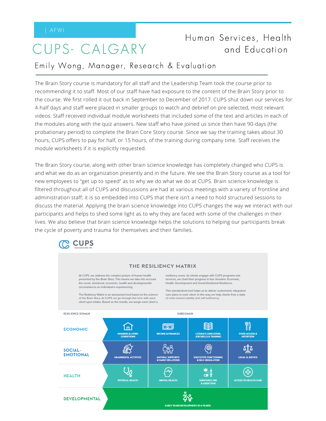## CUPS- CALGARY

### Human Services, Health and Education

### Emily Wong, Manager, Research & Evaluation

The Brain Story course is mandatory for all staff and the Leadership Team took the course prior to recommending it to staff. Most of our staff have had exposure to the content of the Brain Story prior to the course. We first rolled it out back in September to December of 2017. CUPS shut down our services for 4-half days and staff were placed in smaller groups to watch and debrief on pre-selected, most relevant videos. Staff received individual module worksheets that included some of the text and articles in each of the modules along with the quiz answers. New staff who have joined us since then have 90-days (the probationary period) to complete the Brain Core Story course. Since we say the training takes about 30 hours, CUPS offers to pay for half, or 15 hours, of the training during company time. Staff receives the module worksheets if it is explicitly requested.

The Brain Story course, along with other brain science knowledge has completely changed who CUPS is and what we do as an organization presently and in the future. We see the Brain Story course as a tool for new employees to "get up to speed" as to why we do what we do at CUPS. Brain science knowledge is filtered throughout all of CUPS and discussions are had at various meetings with a variety of frontline and administration staff; it is so embedded into CUPS that there isn't a need to hold structured sessions to discuss the material. Applying the brain science knowledge into CUPS changes the way we interact with our participants and helps to shed some light as to why they are faced with some of the challenges in their lives. We also believe that brain science knowledge helps the solutions to helping our participants break the cycle of poverty and trauma for themselves and their families.



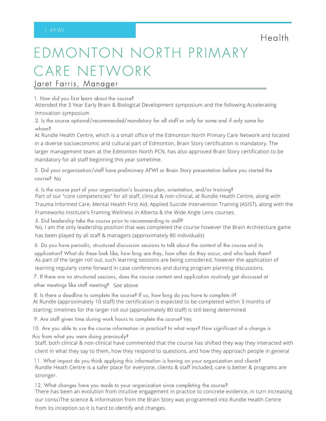**Health** 

# EDMONTON NORTH PRIMARY CARE NETWORK

Jaret Farris, Manager

1. How did you first learn about the course?

Attended the 3 Year Early Brain & Biological Development symposium and the following Accelerating Innovation symposium

2. Is the course optional/recommended/mandatory for all staff or only for some and if only some for whom?

At Rundle Health Centre, which is a small office of the Edmonton North Primary Care Network and located in a diverse socioeconomic and cultural part of Edmonton, Brain Story certification is mandatory. The larger management team at the Edmonton North PCN, has also approved Brain Story certification to be mandatory for all staff beginning this year sometime.

3. Did your organization/staff have preliminary AFWI or Brain Story presentation before you started the course? No

4. Is the course part of your organization's business plan, orientation, and/or training?

Part of our "core competencies" for all staff, clinical & non-clinical, at Rundle Health Centre, along with Trauma Informed Care, Mental Health First Aid, Applied Suicide Intervention Training (ASIST), along with the Frameworks Institute's Framing Wellness in Alberta & the Wide Angle Lens courses.

5. Did leadership take the course prior to recommending to staff?

No, I am the only leadership position that was completed the course however the Brain Architecture game has been played by all staff & managers (approximately 80 individuals)

6. Do you have periodic, structured discussion sessions to talk about the content of the course and its application? What do these look like, how long are they, how often do they occur, and who leads them? As part of the larger roll out, such learning sessions are being considered, however the application of

learning regularly come forward in case conferences and during program planning discussions.

7. If there are no structured sessions, does the course content and application routinely get discussed at other meetings like staff meeting? See above

8. Is there a deadline to complete the course? If so, how long do you have to complete it? At Rundle (approximately 10 staff) the certification is expected to be completed within 3 months of starting; timelines for the larger roll out (approximately 80 staff) is still being determined

9. Are staff given time during work hours to complete the course? Yes

10. Are you able to use the course information in practice? In what ways? How significant of a change is this from what you were doing previously?

Staff, both clinical & non-clinical have commented that the course has shifted they way they interacted with client in what they say to them, how they respond to questions, and how they approach people in general

11. What impact do you think applying this information is having on your organization and clients? Rundle Heath Centre is a safer place for everyone, clients & staff included, care is better & programs are stronger.

12. What changes have you made to your organization since completing the course? There has been an evolution from intuitive engagement in practice to concrete evidence, in turn increasing our consciThe science & information from the Brain Story was programmed into Rundle Health Centre from its inception so it is hard to identify and changes.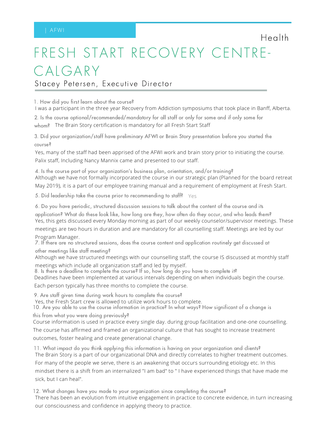# FRESH START RECOVERY CENTRE-CALGARY

**Health** 

Stacey Petersen, Executive Director

1. How did you first learn about the course?

I was a participant in the three year Recovery from Addiction symposiums that took place in Banff, Alberta.

2. Is the course optional/recommended/mandatory for all staff or only for some and if only some for whom? The Brain Story certification is mandatory for all Fresh Start Staff

3. Did your organization/staff have preliminary AFWI or Brain Story presentation before you started the course?

Yes, many of the staff had been apprised of the AFWI work and brain story prior to initiating the course. Palix staff, Including Nancy Mannix came and presented to our staff.

4. Is the course part of your organization's business plan, orientation, and/or training? Although we have not formally incorporated the course in our strategic plan (Planned for the board retreat

May 2019), it is a part of our employee training manual and a requirement of employment at Fresh Start.

5. Did leadership take the course prior to recommending to staff? Yes

6. Do you have periodic, structured discussion sessions to talk about the content of the course and its

application? What do these look like, how long are they, how often do they occur, and who leads them? Yes, this gets discussed every Monday morning as part of our weekly counselor/supervisor meetings. These

meetings are two hours in duration and are mandatory for all counselling staff. Meetings are led by our Program Manager.

7. If there are no structured sessions, does the course content and application routinely get discussed at other meetings like staff meeting?

Although we have structured meetings with our counselling staff, the course IS discussed at monthly staff

meetings which include all organization staff and led by myself.

8. Is there a deadline to complete the course? If so, how long do you have to complete it? Deadlines have been implemented at various intervals depending on when individuals begin the course.

Each person typically has three months to complete the course.

9. Are staff given time during work hours to complete the course?

Yes, the Fresh Start crew is allowed to utilize work hours to complete.

10. Are you able to use the course information in practice? In what ways? How significant of a change is this from what you were doing previously?

Course information is used in practice every single day. during group facilitation and one-one counselling.

The course has affirmed and framed an organizational culture that has sought to increase treatment outcomes, foster healing and create generational change.

11. What impact do you think applying this information is having on your organization and clients? The Brain Story is a part of our organizational DNA and directly correlates to higher treatment outcomes. For many of the people we serve, there is an awakening that occurs surrounding etiology etc. In this mindset there is a shift from an internalized "I am bad" to " I have experienced things that have made me sick, but I can heal".

12. What changes have you made to your organization since completing the course? There has been an evolution from intuitive engagement in practice to concrete evidence, in turn increasing our consciousness and confidence in applying theory to practice.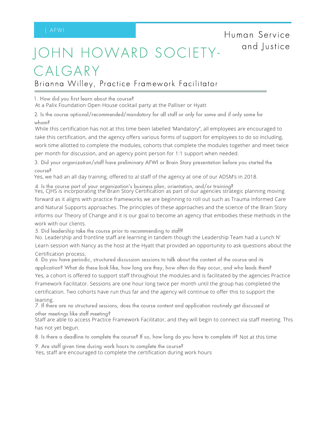## HOWARD SOCIETY-CALGARY

Brianna Willey, Practice Framework Facilitator

1. How did you first learn about the course?

At a Palix Foundation Open House cocktail party at the Palliser or Hyatt

2. Is the course optional/recommended/mandatory for all staff or only for some and if only some for whom?

While this certification has not at this time been labelled 'Mandatory", all employees are encouraged to take this certification, and the agency offers various forms of support for employees to do so including, work time allotted to complete the modules, cohorts that complete the modules together and meet twice per month for discussion, and an agency point person for 1:1 support when needed.

3. Did your organization/staff have preliminary AFWI or Brain Story presentation before you started the course?

Yes, we had an all day training, offered to al staff of the agency at one of our ADSM's in 2018.

4. Is the course part of your organization's business plan, orientation, and/or training? Yes, CJHS is incorporating the Brain Story Certification as part of our agencies strategic planning moving forward as it aligns with practice frameworks we are beginning to roll out such as Trauma Informed Care and Natural Supports approaches. The principles of these approaches and the science of the Brain Story informs our Theory of Change and it is our goal to become an agency that embodies these methods in the work with our clients.

5. Did leadership take the course prior to recommending to staff?

No. Leadership and frontline staff are learning in tandem though the Leadership Team had a Lunch N'

Learn session with Nancy as the host at the Hyatt that provided an opportunity to ask questions about the Certification process.

6. Do you have periodic, structured discussion sessions to talk about the content of the course and its application? What do these look like, how long are they, how often do they occur, and who leads them?

Yes, a cohort is offered to support staff throughout the modules and is facilitated by the agencies Practice

Framework Facilitator. Sessions are one hour long twice per month until the group has completed the certification. Two cohorts have run thus far and the agency will continue to offer this to support the leaning.

7. If there are no structured sessions, does the course content and application routinely get discussed at other meetings like staff meeting?

Staff are able to access Practice Framework Facilitator, and they will begin to connect via staff meeting. This has not yet begun.

8. Is there a deadline to complete the course? If so, how long do you have to complete it? Not at this time

9. Are staff given time during work hours to complete the course?

Yes, staff are encouraged to complete the certification during work hours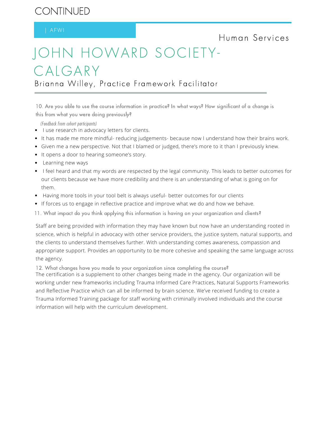## CONTINUED

Human Services

## JOHN HOWARD SOCIETY-CALGARY

Brianna Willey, Practice Framework Facilitator

10. Are you able to use the course information in practice? In what ways? How significant of a change is this from what you were doing previously?

(Feedback from cohort participants)

- **I** use research in advocacy letters for clients.
- It has made me more mindful- reducing judgements- because now I understand how their brains work.
- Given me a new perspective. Not that I blamed or judged, there's more to it than I previously knew.
- It opens a door to hearing someone's story.
- Learning new ways
- I feel heard and that my words are respected by the legal community. This leads to better outcomes for our clients because we have more credibility and there is an understanding of what is going on for them.
- Having more tools in your tool belt is always useful- better outcomes for our clients
- If forces us to engage in reflective practice and improve what we do and how we behave.
- 11. What impact do you think applying this information is having on your organization and clients?

Staff are being provided with information they may have known but now have an understanding rooted in science, which is helpful in advocacy with other service providers, the justice system, natural supports, and the clients to understand themselves further. With understanding comes awareness, compassion and appropriate support. Provides an opportunity to be more cohesive and speaking the same language across the agency.

12. What changes have you made to your organization since completing the course?

The certification is a supplement to other changes being made in the agency. Our organization will be working under new frameworks including Trauma Informed Care Practices, Natural Supports Frameworks and Reflective Practice which can all be informed by brain science. We've received funding to create a Trauma Informed Training package for staff working with criminally involved individuals and the course information will help with the curriculum development.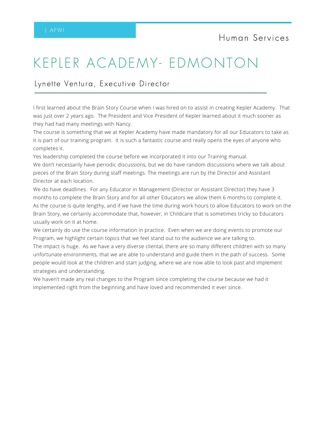## KEPLER ACADEMY- EDMONTON

#### Lynette Ventura, Executive Director

I first learned about the Brain Story Course when I was hired on to assist in creating Kepler Academy. That was just over 2 years ago. The President and Vice President of Kepler learned about it much sooner as they had had many meetings with Nancy.

The course is something that we at Kepler Academy have made mandatory for all our Educators to take as it is part of our training program. It is such a fantastic course and really opens the eyes of anyone who completes it.

Yes leadership completed the course before we incorporated it into our Training manual.

We don't necessarily have periodic discussions, but we do have random discussions where we talk about pieces of the Brain Story during staff meetings. The meetings are run by the Director and Assistant Director at each location.

We do have deadlines. For any Educator in Management (Director or Assistant Director) they have 3 months to complete the Brain Story and for all other Educators we allow them 6 months to complete it. As the course is quite lengthy, and if we have the time during work hours to allow Educators to work on the Brain Story, we certainly accommodate that, however, in Childcare that is sometimes tricky so Educators usually work on it at home.

We certainly do use the course information in practice. Even when we are doing events to promote our Program, we highlight certain topics that we feel stand out to the audience we are talking to.

The impact is huge. As we have a very diverse cliental, there are so many different children with so many unfortunate environments, that we are able to understand and guide them in the path of success. Some people would look at the children and start judging, where we are now able to look past and implement strategies and understanding.

We haven't made any real changes to the Program since completing the course because we had it implemented right from the beginning and have loved and recommended it ever since.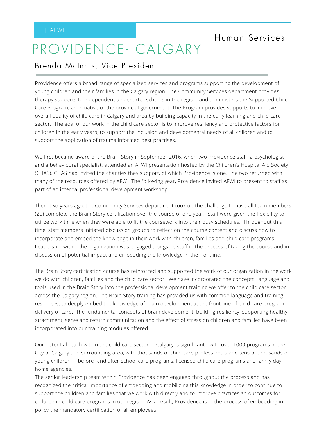## PROVIDENCE- CALGARY

#### Brenda McInnis, Vice President

Providence offers a broad range of specialized services and programs supporting the development of young children and their families in the Calgary region. The Community Services department provides therapy supports to independent and charter schools in the region, and administers the Supported Child Care Program, an initiative of the provincial government. The Program provides supports to improve overall quality of child care in Calgary and area by building capacity in the early learning and child care sector. The goal of our work in the child care sector is to improve resiliency and protective factors for children in the early years, to support the inclusion and developmental needs of all children and to support the application of trauma informed best practises.

We first became aware of the Brain Story in September 2016, when two Providence staff, a psychologist and a behavioural specialist, attended an AFWI presentation hosted by the Children's Hospital Aid Society (CHAS). CHAS had invited the charities they support, of which Providence is one. The two returned with many of the resources offered by AFWI. The following year, Providence invited AFWI to present to staff as part of an internal professional development workshop.

Then, two years ago, the Community Services department took up the challenge to have all team members (20) complete the Brain Story certification over the course of one year. Staff were given the flexibility to utilize work time when they were able to fit the coursework into their busy schedules. Throughout this time, staff members initiated discussion groups to reflect on the course content and discuss how to incorporate and embed the knowledge in their work with children, families and child care programs. Leadership within the organization was engaged alongside staff in the process of taking the course and in discussion of potential impact and embedding the knowledge in the frontline.

The Brain Story certification course has reinforced and supported the work of our organization in the work we do with children, families and the child care sector. We have incorporated the concepts, language and tools used in the Brain Story into the professional development training we offer to the child care sector across the Calgary region. The Brain Story training has provided us with common language and training resources, to deeply embed the knowledge of brain development at the front line of child care program delivery of care. The fundamental concepts of brain development, building resiliency, supporting healthy attachment, serve and return communication and the effect of stress on children and families have been incorporated into our training modules offered.

Our potential reach within the child care sector in Calgary is significant - with over 1000 programs in the City of Calgary and surrounding area, with thousands of child care professionals and tens of thousands of young children in before- and after-school care programs, licensed child care programs and family day home agencies.

The senior leadership team within Providence has been engaged throughout the process and has recognized the critical importance of embedding and mobilizing this knowledge in order to continue to support the children and families that we work with directly and to improve practices an outcomes for children in child care programs in our region. As a result, Providence is in the process of embedding in policy the mandatory certification of all employees.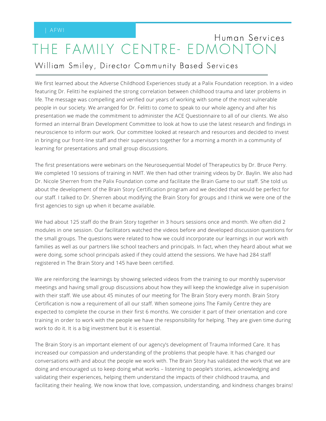## THE FAMILY CENTRE- EDMONTC Human Services

### William Smiley, Director Community Based Services

We first learned about the Adverse Childhood Experiences study at a Palix Foundation reception. In a video featuring Dr. Felitti he explained the strong correlation between childhood trauma and later problems in life. The message was compelling and verified our years of working with some of the most vulnerable people in our society. We arranged for Dr. Felitti to come to speak to our whole agency and after his presentation we made the commitment to administer the ACE Questionnaire to all of our clients. We also formed an internal Brain Development Committee to look at how to use the latest research and findings in neuroscience to inform our work. Our committee looked at research and resources and decided to invest in bringing our front-line staff and their supervisors together for a morning a month in a community of learning for presentations and small group discussions.

The first presentations were webinars on the Neurosequential Model of Therapeutics by Dr. Bruce Perry. We completed 10 sessions of training in NMT. We then had other training videos by Dr. Baylin. We also had Dr. Nicole Sherren from the Palix Foundation come and facilitate the Brain Game to our staff. She told us about the development of the Brain Story Certification program and we decided that would be perfect for our staff. I talked to Dr. Sherren about modifying the Brain Story for groups and I think we were one of the first agencies to sign up when it became available.

We had about 125 staff do the Brain Story together in 3 hours sessions once and month. We often did 2 modules in one session. Our facilitators watched the videos before and developed discussion questions for the small groups. The questions were related to how we could incorporate our learnings in our work with families as well as our partners like school teachers and principals. In fact, when they heard about what we were doing, some school principals asked if they could attend the sessions. We have had 284 staff registered in The Brain Story and 145 have been certified.

We are reinforcing the learnings by showing selected videos from the training to our monthly supervisor meetings and having small group discussions about how they will keep the knowledge alive in supervision with their staff. We use about 45 minutes of our meeting for The Brain Story every month. Brain Story Certification is now a requirement of all our staff. When someone joins The Family Centre they are expected to complete the course in their first 6 months. We consider it part of their orientation and core training in order to work with the people we have the responsibility for helping. They are given time during work to do it. It is a big investment but it is essential.

The Brain Story is an important element of our agency's development of Trauma Informed Care. It has increased our compassion and understanding of the problems that people have. It has changed our conversations with and about the people we work with. The Brain Story has validated the work that we are doing and encouraged us to keep doing what works – listening to people's stories, acknowledging and validating their experiences, helping them understand the impacts of their childhood trauma, and facilitating their healing. We now know that love, compassion, understanding, and kindness changes brains!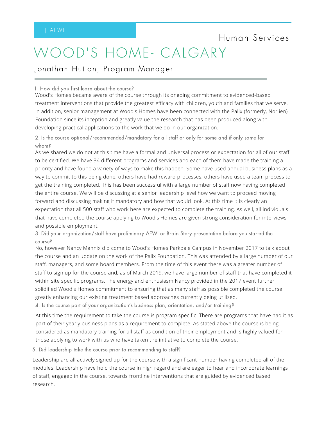## WOOD'S HOME- CALGARY

Jonathan Hutton, Program Manager

1. How did you first learn about the course?

Wood's Homes became aware of the course through its ongoing commitment to evidenced-based treatment interventions that provide the greatest efficacy with children, youth and families that we serve. In addition, senior management at Wood's Homes have been connected with the Palix (formerly, Norlien) Foundation since its inception and greatly value the research that has been produced along with developing practical applications to the work that we do in our organization.

2. Is the course optional/recommended/mandatory for all staff or only for some and if only some for whom?

As we shared we do not at this time have a formal and universal process or expectation for all of our staff to be certified. We have 34 different programs and services and each of them have made the training a priority and have found a variety of ways to make this happen. Some have used annual business plans as a way to commit to this being done, others have had reward processes, others have used a team process to get the training completed. This has been successful with a large number of staff now having completed the entire course. We will be discussing at a senior leadership level how we want to proceed moving forward and discussing making it mandatory and how that would look. At this time it is clearly an expectation that all 500 staff who work here are expected to complete the training. As well, all individuals that have completed the course applying to Wood's Homes are given strong consideration for interviews and possible employment.

3. Did your organization/staff have preliminary AFWI or Brain Story presentation before you started the course?

No, however Nancy Mannix did come to Wood's Homes Parkdale Campus in November 2017 to talk about the course and an update on the work of the Palix Foundation. This was attended by a large number of our staff, managers, and some board members. From the time of this event there was a greater number of staff to sign up for the course and, as of March 2019, we have large number of staff that have completed it within site specific programs. The energy and enthusiasm Nancy provided in the 2017 event further solidified Wood's Homes commitment to ensuring that as many staff as possible completed the course greatly enhancing our existing treatment based approaches currently being utilized. 4. Is the course part of your organization's business plan, orientation, and/or training?

At this time the requirement to take the course is program specific. There are programs that have had it as part of their yearly business plans as a requirement to complete. As stated above the course is being considered as mandatory training for all staff as condition of their employment and is highly valued for those applying to work with us who have taken the initiative to complete the course.

5. Did leadership take the course prior to recommending to staff?

Leadership are all actively signed up for the course with a significant number having completed all of the modules. Leadership have hold the course in high regard and are eager to hear and incorporate learnings of staff, engaged in the course, towards frontline interventions that are guided by evidenced based research.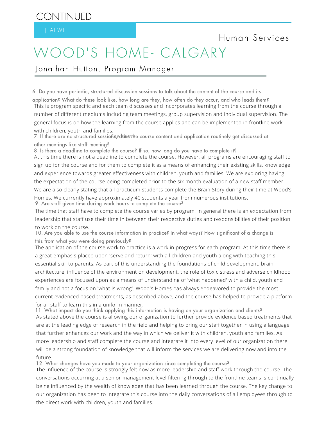## WOOD'S HOME- CALGARY

Jonathan Hutton, Program Manager

6. Do you have periodic, structured discussion sessions to talk about the content of the course and its application? What do these look like, how long are they, how often do they occur, and who leads them? This is program specific and each team discusses and incorporates learning from the course through a number of different mediums including team meetings, group supervision and individual supervision. The general focus is on how the learning from the course applies and can be implemented in frontline work with children, youth and families.

7. If there are no structured sessio&eeddæovthe course content and application routinely get discussed at other meetings like staff meeting?

8. Is there a deadline to complete the course? If so, how long do you have to complete it?

At this time there is not a deadline to complete the course. However, all programs are encouraging staff to sign up for the course and for them to complete it as a means of enhancing their existing skills, knowledge and experience towards greater effectiveness with children, youth and families. We are exploring having the expectation of the course being completed prior to the six month evaluation of a new staff member. We are also clearly stating that all practicum students complete the Brain Story during their time at Wood's Homes. We currently have approximately 40 students a year from numerous institutions. 9. Are staff given time during work hours to complete the course?

The time that staff have to complete the course varies by program. In general there is an expectation from leadership that staff use their time in between their respective duties and responsibilities of their position to work on the course.

10. Are you able to use the course information in practice? In what ways? How significant of a change is this from what you were doing previously?

The application of the course work to practice is a work in progress for each program. At this time there is a great emphasis placed upon 'serve and return' with all children and youth along with teaching this essential skill to parents. As part of this understanding the foundations of child development, brain architecture, influence of the environment on development, the role of toxic stress and adverse childhood experiences are focused upon as a means of understanding of 'what happened' with a child, youth and family and not a focus on 'what is wrong'. Wood's Homes has always endeavored to provide the most current evidenced based treatments, as described above, and the course has helped to provide a platform for all staff to learn this in a uniform manner.

11. What impact do you think applying this information is having on your organization and clients? As stated above the course is allowing our organization to further provide evidence based treatments that are at the leading edge of research in the field and helping to bring our staff together in using a language that further enhances our work and the way in which we deliver it with children, youth and families. As more leadership and staff complete the course and integrate it into every level of our organization there will be a strong foundation of knowledge that will inform the services we are delivering now and into the future.

12. What changes have you made to your organization since completing the course?

The influence of the course is strongly felt now as more leadership and staff work through the course. The conversations occurring at a senior management level filtering through to the frontline teams is continually being influenced by the wealth of knowledge that has been learned through the course. The key change to our organization has been to integrate this course into the daily conversations of all employees through to the direct work with children, youth and families.